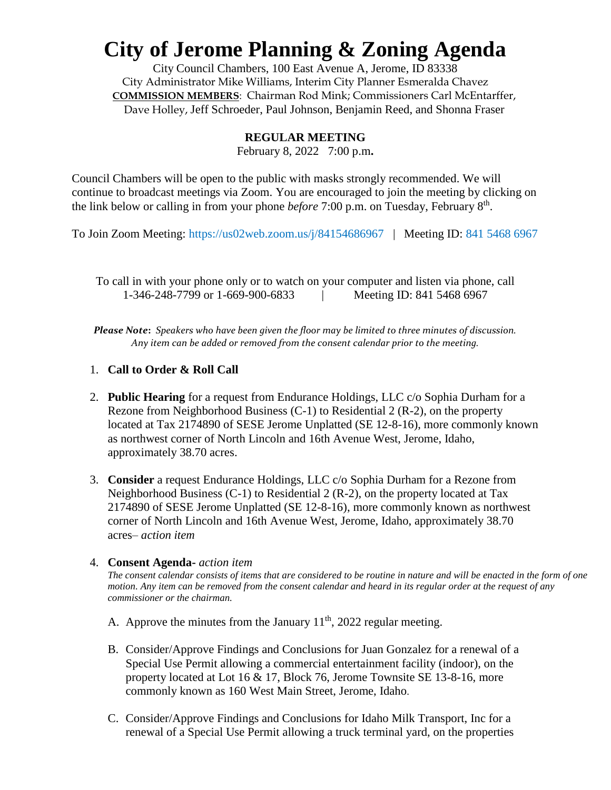# **City of Jerome Planning & Zoning Agenda**

City Council Chambers, 100 East Avenue A, Jerome, ID 83338 City Administrator Mike Williams, Interim City Planner Esmeralda Chavez **COMMISSION MEMBERS**: Chairman Rod Mink; Commissioners Carl McEntarffer, Dave Holley, Jeff Schroeder, Paul Johnson, Benjamin Reed, and Shonna Fraser

### **REGULAR MEETING**

February 8, 2022 7:00 p.m**.**

Council Chambers will be open to the public with masks strongly recommended. We will continue to broadcast meetings via Zoom. You are encouraged to join the meeting by clicking on the link below or calling in from your phone *before* 7:00 p.m. on Tuesday, February 8<sup>th</sup>.

To Join Zoom Meeting:<https://us02web.zoom.us/j/84154686967>| Meeting ID: 841 5468 6967

To call in with your phone only or to watch on your computer and listen via phone, call 1-346-248-7799 or 1-669-900-6833 <br>
Meeting ID: 841 5468 6967

*Please Note***:** *Speakers who have been given the floor may be limited to three minutes of discussion. Any item can be added or removed from the consent calendar prior to the meeting.*

### 1. **Call to Order & Roll Call**

- 2. **Public Hearing** for a request from Endurance Holdings, LLC c/o Sophia Durham for a Rezone from Neighborhood Business (C-1) to Residential 2 (R-2), on the property located at Tax 2174890 of SESE Jerome Unplatted (SE 12-8-16), more commonly known as northwest corner of North Lincoln and 16th Avenue West, Jerome, Idaho, approximately 38.70 acres.
- 3. **Consider** a request Endurance Holdings, LLC c/o Sophia Durham for a Rezone from Neighborhood Business (C-1) to Residential 2 (R-2), on the property located at Tax 2174890 of SESE Jerome Unplatted (SE 12-8-16), more commonly known as northwest corner of North Lincoln and 16th Avenue West, Jerome, Idaho, approximately 38.70 acres– *action item*

#### 4. **Consent Agenda-** *action item*

*The consent calendar consists of items that are considered to be routine in nature and will be enacted in the form of one motion. Any item can be removed from the consent calendar and heard in its regular order at the request of any commissioner or the chairman.* 

- A. Approve the minutes from the January  $11<sup>th</sup>$ , 2022 regular meeting.
- B. Consider/Approve Findings and Conclusions for Juan Gonzalez for a renewal of a Special Use Permit allowing a commercial entertainment facility (indoor), on the property located at Lot 16 & 17, Block 76, Jerome Townsite SE 13-8-16, more commonly known as 160 West Main Street, Jerome, Idaho.
- C. Consider/Approve Findings and Conclusions for Idaho Milk Transport, Inc for a renewal of a Special Use Permit allowing a truck terminal yard, on the properties